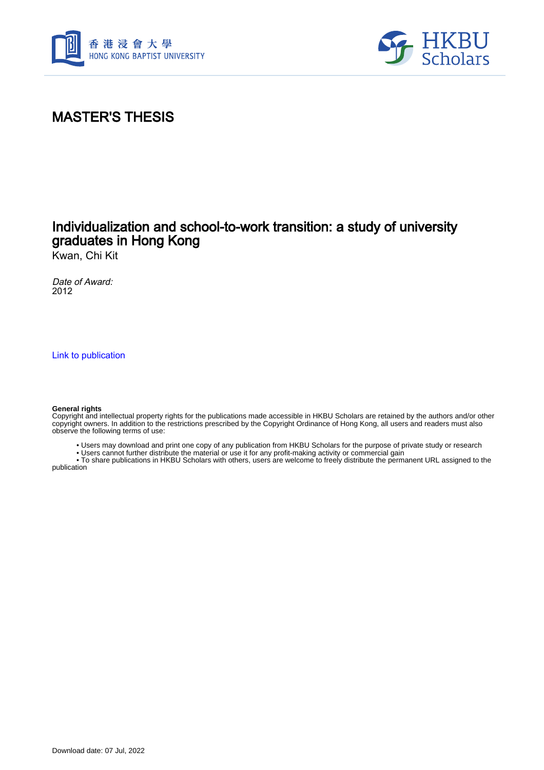



# MASTER'S THESIS

# Individualization and school-to-work transition: a study of university graduates in Hong Kong

Kwan, Chi Kit

Date of Award: 2012

[Link to publication](https://scholars.hkbu.edu.hk/en/studentTheses/072fde68-0dd3-4186-a7ff-ded11ae6abfa)

#### **General rights**

Copyright and intellectual property rights for the publications made accessible in HKBU Scholars are retained by the authors and/or other copyright owners. In addition to the restrictions prescribed by the Copyright Ordinance of Hong Kong, all users and readers must also observe the following terms of use:

• Users may download and print one copy of any publication from HKBU Scholars for the purpose of private study or research

• Users cannot further distribute the material or use it for any profit-making activity or commercial gain

 • To share publications in HKBU Scholars with others, users are welcome to freely distribute the permanent URL assigned to the publication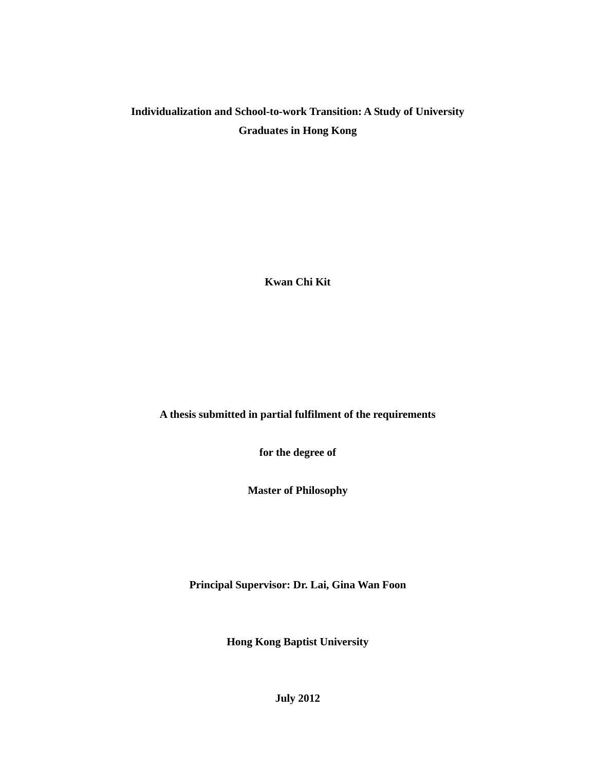## **Individualization and School-to-work Transition: A Study of University Graduates in Hong Kong**

**Kwan Chi Kit** 

**A thesis submitted in partial fulfilment of the requirements** 

**for the degree of** 

**Master of Philosophy** 

**Principal Supervisor: Dr. Lai, Gina Wan Foon** 

**Hong Kong Baptist University** 

**July 2012**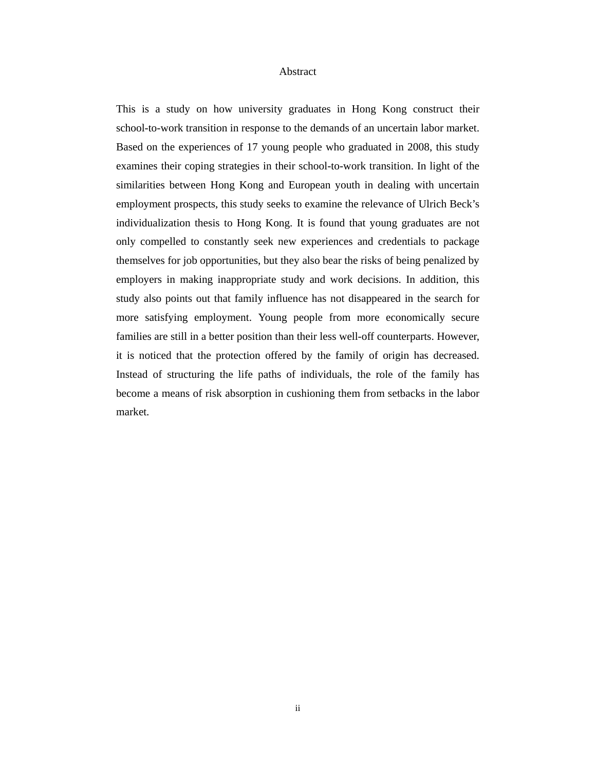### Abstract

This is a study on how university graduates in Hong Kong construct their school-to-work transition in response to the demands of an uncertain labor market. Based on the experiences of 17 young people who graduated in 2008, this study examines their coping strategies in their school-to-work transition. In light of the similarities between Hong Kong and European youth in dealing with uncertain employment prospects, this study seeks to examine the relevance of Ulrich Beck's individualization thesis to Hong Kong. It is found that young graduates are not only compelled to constantly seek new experiences and credentials to package themselves for job opportunities, but they also bear the risks of being penalized by employers in making inappropriate study and work decisions. In addition, this study also points out that family influence has not disappeared in the search for more satisfying employment. Young people from more economically secure families are still in a better position than their less well-off counterparts. However, it is noticed that the protection offered by the family of origin has decreased. Instead of structuring the life paths of individuals, the role of the family has become a means of risk absorption in cushioning them from setbacks in the labor market.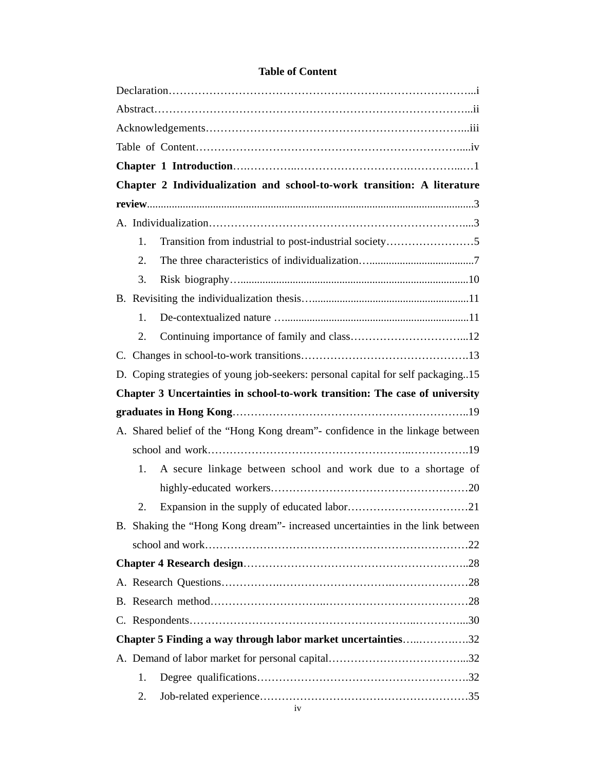| Chapter 2 Individualization and school-to-work transition: A literature          |  |  |  |  |
|----------------------------------------------------------------------------------|--|--|--|--|
|                                                                                  |  |  |  |  |
|                                                                                  |  |  |  |  |
| Transition from industrial to post-industrial society5<br>1.                     |  |  |  |  |
| 2.                                                                               |  |  |  |  |
| 3.                                                                               |  |  |  |  |
|                                                                                  |  |  |  |  |
| 1.                                                                               |  |  |  |  |
| 2.                                                                               |  |  |  |  |
|                                                                                  |  |  |  |  |
| D. Coping strategies of young job-seekers: personal capital for self packaging15 |  |  |  |  |
| Chapter 3 Uncertainties in school-to-work transition: The case of university     |  |  |  |  |
|                                                                                  |  |  |  |  |
| A. Shared belief of the "Hong Kong dream"- confidence in the linkage between     |  |  |  |  |
|                                                                                  |  |  |  |  |
| A secure linkage between school and work due to a shortage of<br>1.              |  |  |  |  |
|                                                                                  |  |  |  |  |
| 2.                                                                               |  |  |  |  |
| B. Shaking the "Hong Kong dream"- increased uncertainties in the link between    |  |  |  |  |
|                                                                                  |  |  |  |  |
|                                                                                  |  |  |  |  |
|                                                                                  |  |  |  |  |
|                                                                                  |  |  |  |  |
|                                                                                  |  |  |  |  |
| Chapter 5 Finding a way through labor market uncertainties32                     |  |  |  |  |
|                                                                                  |  |  |  |  |
| 1.                                                                               |  |  |  |  |
| 2.                                                                               |  |  |  |  |

### **Table of Content**